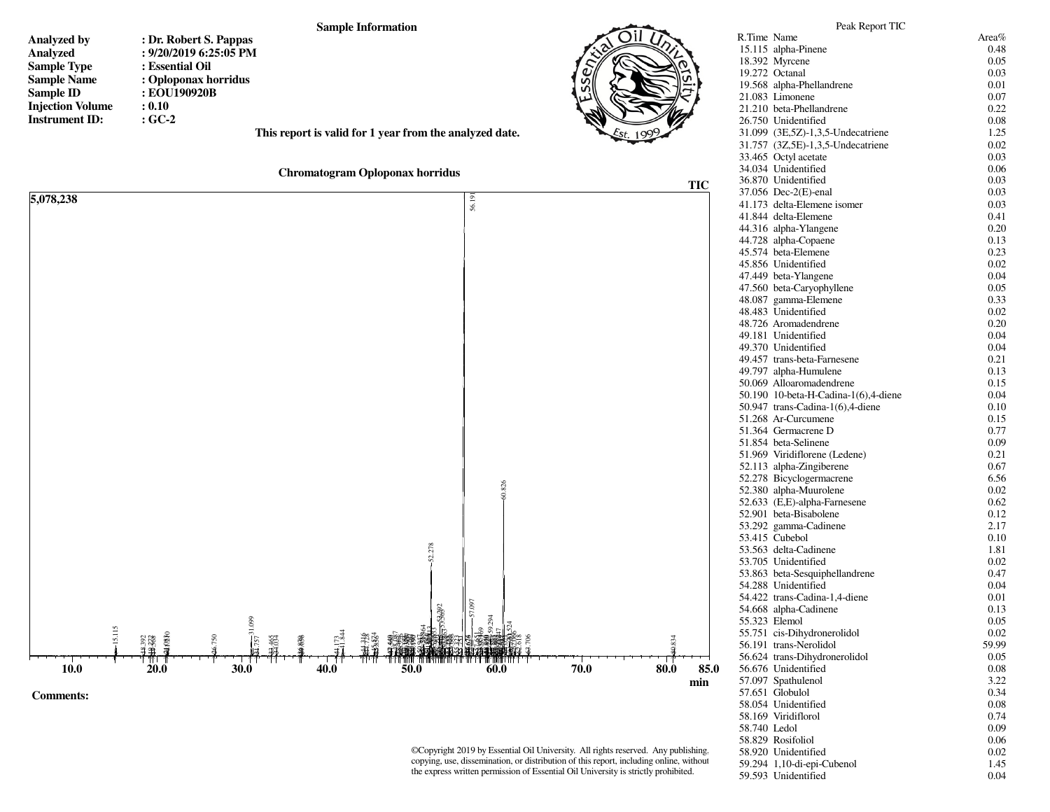

©Copyright 2019 by Essential Oil University. All rights reserved. Any publishing, copying, use, dissemination, or distribution of this report, including online, without the express written permission of Essential Oil University is strictly prohibited.

59.294 1,10-di-epi-Cubenol 59.593 Unidentified

58.920 Unidentified

0.02

1.45

0.04